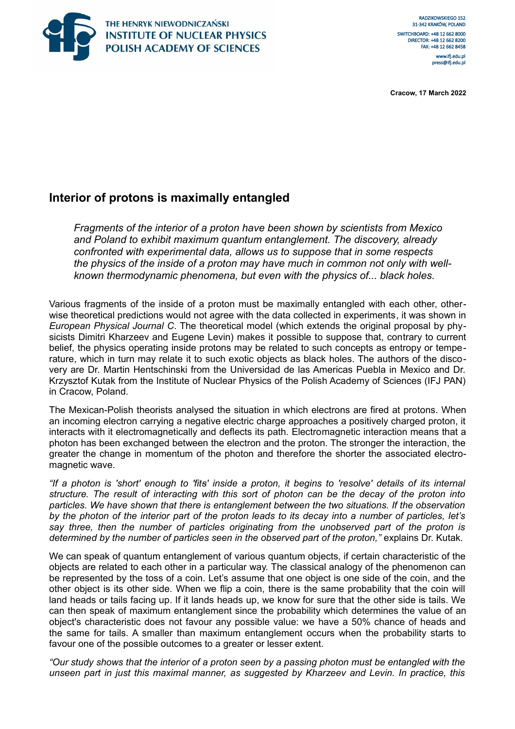

**Cracow, 17 March 2022**

# **Interior of protons is maximally entangled**

*Fragments of the interior of a proton have been shown by scientists from Mexico and Poland to exhibit maximum quantum entanglement. The discovery, already confronted with experimental data, allows us to suppose that in some respects the physics of the inside of a proton may have much in common not only with wellknown thermodynamic phenomena, but even with the physics of... black holes.* 

Various fragments of the inside of a proton must be maximally entangled with each other, otherwise theoretical predictions would not agree with the data collected in experiments, it was shown in *European Physical Journal C*. The theoretical model (which extends the original proposal by physicists Dimitri Kharzeev and Eugene Levin) makes it possible to suppose that, contrary to current belief, the physics operating inside protons may be related to such concepts as entropy or temperature, which in turn may relate it to such exotic objects as black holes. The authors of the discovery are Dr. Martin Hentschinski from the Universidad de las Americas Puebla in Mexico and Dr. Krzysztof Kutak from the Institute of Nuclear Physics of the Polish Academy of Sciences (IFJ PAN) in Cracow, Poland.

The Mexican-Polish theorists analysed the situation in which electrons are fired at protons. When an incoming electron carrying a negative electric charge approaches a positively charged proton, it interacts with it electromagnetically and deflects its path. Electromagnetic interaction means that a photon has been exchanged between the electron and the proton. The stronger the interaction, the greater the change in momentum of the photon and therefore the shorter the associated electromagnetic wave.

*"If a photon is 'short' enough to 'fits' inside a proton, it begins to 'resolve' details of its internal structure. The result of interacting with this sort of photon can be the decay of the proton into particles. We have shown that there is entanglement between the two situations. If the observation by the photon of the interior part of the proton leads to its decay into a number of particles, let's say three, then the number of particles originating from the unobserved part of the proton is determined by the number of particles seen in the observed part of the proton,"* explains Dr. Kutak.

We can speak of quantum entanglement of various quantum objects, if certain characteristic of the objects are related to each other in a particular way. The classical analogy of the phenomenon can be represented by the toss of a coin. Let's assume that one object is one side of the coin, and the other object is its other side. When we flip a coin, there is the same probability that the coin will land heads or tails facing up. If it lands heads up, we know for sure that the other side is tails. We can then speak of maximum entanglement since the probability which determines the value of an object's characteristic does not favour any possible value: we have a 50% chance of heads and the same for tails. A smaller than maximum entanglement occurs when the probability starts to favour one of the possible outcomes to a greater or lesser extent.

*"Our study shows that the interior of a proton seen by a passing photon must be entangled with the unseen part in just this maximal manner, as suggested by Kharzeev and Levin. In practice, this*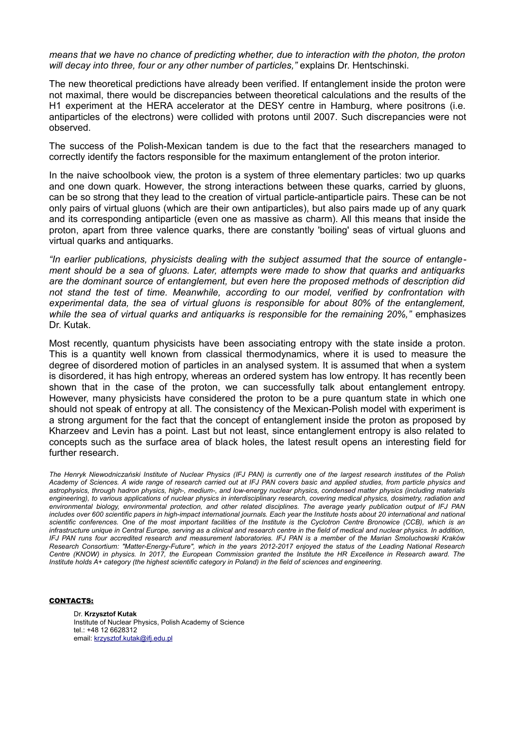*means that we have no chance of predicting whether, due to interaction with the photon, the proton will decay into three, four or any other number of particles,"* explains Dr. Hentschinski.

The new theoretical predictions have already been verified. If entanglement inside the proton were not maximal, there would be discrepancies between theoretical calculations and the results of the H1 experiment at the HERA accelerator at the DESY centre in Hamburg, where positrons (i.e. antiparticles of the electrons) were collided with protons until 2007. Such discrepancies were not observed.

The success of the Polish-Mexican tandem is due to the fact that the researchers managed to correctly identify the factors responsible for the maximum entanglement of the proton interior.

In the naive schoolbook view, the proton is a system of three elementary particles: two up quarks and one down quark. However, the strong interactions between these quarks, carried by gluons, can be so strong that they lead to the creation of virtual particle-antiparticle pairs. These can be not only pairs of virtual gluons (which are their own antiparticles), but also pairs made up of any quark and its corresponding antiparticle (even one as massive as charm). All this means that inside the proton, apart from three valence quarks, there are constantly 'boiling' seas of virtual gluons and virtual quarks and antiquarks.

*"In earlier publications, physicists dealing with the subject assumed that the source of entanglement should be a sea of gluons. Later, attempts were made to show that quarks and antiquarks are the dominant source of entanglement, but even here the proposed methods of description did not stand the test of time. Meanwhile, according to our model, verified by confrontation with experimental data, the sea of virtual gluons is responsible for about 80% of the entanglement, while the sea of virtual quarks and antiquarks is responsible for the remaining 20%,"* emphasizes Dr. Kutak.

Most recently, quantum physicists have been associating entropy with the state inside a proton. This is a quantity well known from classical thermodynamics, where it is used to measure the degree of disordered motion of particles in an analysed system. It is assumed that when a system is disordered, it has high entropy, whereas an ordered system has low entropy. It has recently been shown that in the case of the proton, we can successfully talk about entanglement entropy. However, many physicists have considered the proton to be a pure quantum state in which one should not speak of entropy at all. The consistency of the Mexican-Polish model with experiment is a strong argument for the fact that the concept of entanglement inside the proton as proposed by Kharzeev and Levin has a point. Last but not least, since entanglement entropy is also related to concepts such as the surface area of black holes, the latest result opens an interesting field for further research.

*The Henryk Niewodniczański Institute of Nuclear Physics (IFJ PAN) is currently one of the largest research institutes of the Polish Academy of Sciences. A wide range of research carried out at IFJ PAN covers basic and applied studies, from particle physics and astrophysics, through hadron physics, high-, medium-, and low-energy nuclear physics, condensed matter physics (including materials engineering), to various applications of nuclear physics in interdisciplinary research, covering medical physics, dosimetry, radiation and environmental biology, environmental protection, and other related disciplines. The average yearly publication output of IFJ PAN includes over 600 scientific papers in high-impact international journals. Each year the Institute hosts about 20 international and national scientific conferences. One of the most important facilities of the Institute is the Cyclotron Centre Bronowice (CCB), which is an infrastructure unique in Central Europe, serving as a clinical and research centre in the field of medical and nuclear physics. In addition, IFJ PAN runs four accredited research and measurement laboratories. IFJ PAN is a member of the Marian Smoluchowski Kraków Research Consortium: "Matter-Energy-Future", which in the years 2012-2017 enjoyed the status of the Leading National Research Centre (KNOW) in physics. In 2017, the European Commission granted the Institute the HR Excellence in Research award. The Institute holds A+ category (the highest scientific category in Poland) in the field of sciences and engineering.*

### CONTACTS:

Dr. **Krzysztof Kutak** Institute of Nuclear Physics, Polish Academy of Science tel.: +48 12 6628312 email: [krzysztof.kutak@ifj.edu.pl](mailto:krzysztof.kutak@ifj.edu.pl)